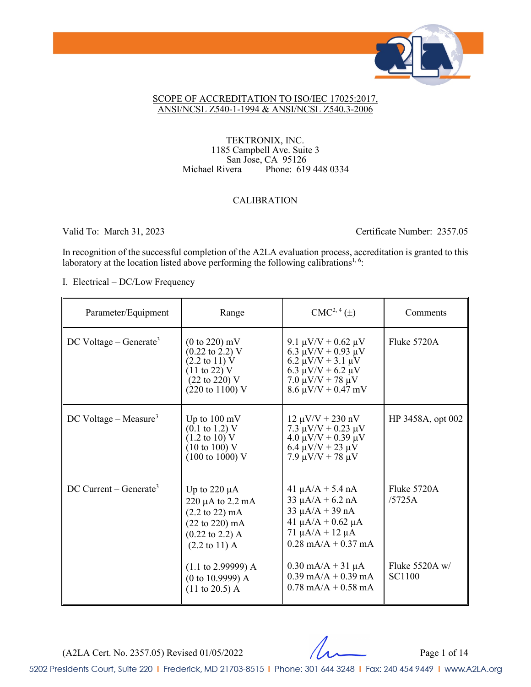

#### SCOPE OF ACCREDITATION TO ISO/IEC 17025:2017, ANSI/NCSL Z540-1-1994 & ANSI/NCSL Z540.3-2006

TEKTRONIX, INC. 1185 Campbell Ave. Suite 3 San Jose, CA 95126 Michael Rivera Phone: 619 448 0334

### CALIBRATION

Valid To: March 31, 2023 Certificate Number: 2357.05

In recognition of the successful completion of the A2LA evaluation process, accreditation is granted to this laboratory at the location listed above performing the following calibrations<sup>1, 6</sup>:

I. Electrical – DC/Low Frequency

| Parameter/Equipment                  | Range                                                                                                                                                                                                                                                                         | $CMC2, 4(\pm)$                                                                                                                                                                                                                            | Comments                                                   |
|--------------------------------------|-------------------------------------------------------------------------------------------------------------------------------------------------------------------------------------------------------------------------------------------------------------------------------|-------------------------------------------------------------------------------------------------------------------------------------------------------------------------------------------------------------------------------------------|------------------------------------------------------------|
| $DC$ Voltage – Generate <sup>3</sup> | $(0 to 220)$ mV<br>$(0.22 \text{ to } 2.2) \text{ V}$<br>$(2.2 \text{ to } 11) \text{ V}$<br>$(11 \text{ to } 22) \text{ V}$<br>$(22 \text{ to } 220)$ V<br>$(220 \text{ to } 1100)$ V                                                                                        | 9.1 $\mu$ V/V + 0.62 $\mu$ V<br>6.3 $\mu$ V/V + 0.93 $\mu$ V<br>6.2 $\mu$ V/V + 3.1 $\mu$ V<br>6.3 $\mu$ V/V + 6.2 $\mu$ V<br>$7.0 \mu V/V + 78 \mu V$<br>$8.6 \mu V/V + 0.47 \ mV$                                                       | Fluke 5720A                                                |
| $DC$ Voltage – Measure <sup>3</sup>  | Up to $100 \text{ mV}$<br>$(0.1 \text{ to } 1.2)$ V<br>$(1.2 \text{ to } 10) \text{ V}$<br>$(10 \text{ to } 100)$ V<br>$(100 \text{ to } 1000)$ V                                                                                                                             | $12 \mu V/V + 230 \text{ nV}$<br>7.3 $\mu$ V/V + 0.23 $\mu$ V<br>$4.0 \mu V/V + 0.39 \mu V$<br>6.4 $\mu$ V/V + 23 $\mu$ V<br>$7.9 \mu V/V + 78 \mu V$                                                                                     | HP 3458A, opt 002                                          |
| $DC$ Current – Generate <sup>3</sup> | Up to $220 \mu A$<br>$220 \mu A$ to $2.2 \mu A$<br>$(2.2 \text{ to } 22) \text{ mA}$<br>$(22 \text{ to } 220) \text{ mA}$<br>$(0.22 \text{ to } 2.2)$ A<br>$(2.2 \text{ to } 11) \text{ A}$<br>$(1.1 \text{ to } 2.99999)$ A<br>(0 to 10.9999) A<br>$(11 \text{ to } 20.5)$ A | $41 \mu A/A + 5.4 nA$<br>$33 \mu A/A + 6.2 nA$<br>$33 \mu A/A + 39 nA$<br>41 $\mu$ A/A + 0.62 $\mu$ A<br>71 $\mu A/A + 12 \mu A$<br>$0.28$ mA/A + 0.37 mA<br>$0.30$ mA/A + 31 $\mu$ A<br>$0.39$ mA/A + 0.39 mA<br>$0.78$ mA/A + $0.58$ mA | Fluke 5720A<br>/5725A<br>Fluke $5520A$ w/<br><b>SC1100</b> |

(A2LA Cert. No. 2357.05) Revised 01/05/2022 Page 1 of 14

5202 Presidents Court, Suite 220 | Frederick, MD 21703-8515 | Phone: 301 644 3248 | Fax: 240 454 9449 | www.A2LA.org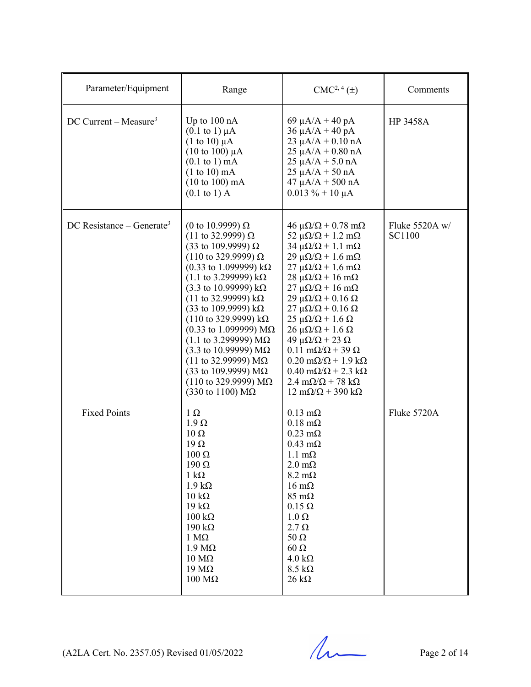| Parameter/Equipment                   | Range                                                                                                                                                                                                                                                                                                                                                                                                                                                                                                                                                                                                                                      | $CMC2, 4(\pm)$                                                                                                                                                                                                                                                                                                                                                                                                                                                                                                                                                                                                                                                                                                                                                 | Comments                        |
|---------------------------------------|--------------------------------------------------------------------------------------------------------------------------------------------------------------------------------------------------------------------------------------------------------------------------------------------------------------------------------------------------------------------------------------------------------------------------------------------------------------------------------------------------------------------------------------------------------------------------------------------------------------------------------------------|----------------------------------------------------------------------------------------------------------------------------------------------------------------------------------------------------------------------------------------------------------------------------------------------------------------------------------------------------------------------------------------------------------------------------------------------------------------------------------------------------------------------------------------------------------------------------------------------------------------------------------------------------------------------------------------------------------------------------------------------------------------|---------------------------------|
| DC Current – Measure <sup>3</sup>     | Up to $100 \text{ nA}$<br>$(0.1 \text{ to } 1) \mu\text{A}$<br>$(1 \text{ to } 10) \mu\text{A}$<br>$(10 \text{ to } 100) \mu\text{A}$<br>$(0.1 \text{ to } 1) \text{ mA}$<br>$(1 to 10)$ mA<br>$(10 \text{ to } 100) \text{ mA}$<br>$(0.1 \text{ to } 1)$ A                                                                                                                                                                                                                                                                                                                                                                                | 69 $\mu$ A/A + 40 pA<br>$36 \mu A/A + 40 pA$<br>$23 \mu A/A + 0.10 \text{ nA}$<br>$25 \mu A/A + 0.80 \text{ nA}$<br>$25 \mu A/A + 5.0 \text{ nA}$<br>$25 \mu A/A + 50 nA$<br>$47 \mu A/A + 500 \text{ nA}$<br>$0.013 \% + 10 \mu A$                                                                                                                                                                                                                                                                                                                                                                                                                                                                                                                            | <b>HP 3458A</b>                 |
| DC Resistance – Generate <sup>3</sup> | (0 to 10.9999) Ω<br>$(11$ to 32.9999) Ω<br>(33 to 109.9999) Ω<br>$(110 \text{ to } 329.9999) \Omega$<br>$(0.33 \text{ to } 1.099999) \text{ k}\Omega$<br>$(1.1 \text{ to } 3.299999) \text{ k}\Omega$<br>$(3.3 \text{ to } 10.99999) \text{ k}\Omega$<br>$(11$ to 32.99999) kΩ<br>(33 to 109.9999) $k\Omega$<br>$(110 \text{ to } 329.9999) \text{ k}\Omega$<br>$(0.33 \text{ to } 1.099999) \text{ M}\Omega$<br>$(1.1$ to 3.299999) MΩ<br>$(3.3 \text{ to } 10.99999) \text{ M}\Omega$<br>$(11$ to 32.99999) ΜΩ<br>(33 to 109.9999) $M\Omega$<br>$(110 \text{ to } 329.9999) \text{ M}\Omega$<br>$(330 \text{ to } 1100) \text{ M}\Omega$ | $46 \mu\Omega/\Omega + 0.78 \text{ mA}$<br>52 $\mu\Omega/\Omega$ + 1.2 m $\Omega$<br>$34 \mu\Omega/\Omega + 1.1 \text{ mA}$<br>$29 \mu\Omega/\Omega + 1.6 \text{ m}\Omega$<br>$27 \mu\Omega/\Omega + 1.6 \text{ m}\Omega$<br>$28 \mu\Omega/\Omega + 16 \text{ mA}$<br>$27 \mu\Omega/\Omega + 16 \text{ mA}$<br>$29 \mu\Omega/\Omega + 0.16 \Omega$<br>$27 \mu\Omega/\Omega$ + 0.16 $\Omega$<br>$25 \mu\Omega/\Omega + 1.6 \Omega$<br>$26 \mu\Omega/\Omega + 1.6 \Omega$<br>49 μ $\Omega/\Omega$ + 23 $\Omega$<br>$0.11 \text{ m}\Omega/\Omega + 39 \Omega$<br>$0.20 \text{ m}\Omega/\Omega + 1.9 \text{ k}\Omega$<br>$0.40 \text{ m}\Omega/\Omega$ + 2.3 k $\Omega$<br>$2.4 \text{ m}\Omega/\Omega$ + 78 k $\Omega$<br>$12 \text{ mA}/\Omega$ + 390 k $\Omega$ | Fluke 5520A w/<br><b>SC1100</b> |
| <b>Fixed Points</b>                   | $1 \Omega$<br>$1.9 \Omega$<br>$10 \Omega$<br>$19 \Omega$<br>$100 \Omega$<br>190 Ω<br>$1 \text{ k}\Omega$<br>$1.9 \text{ k}\Omega$<br>$10 \text{ k}\Omega$<br>19 k $\Omega$<br>$100 \text{ k}\Omega$<br>$190 \text{ k}\Omega$<br>$1 M\Omega$<br>$1.9 \text{ M}\Omega$<br>$10 \text{ M}\Omega$<br>$19 \text{ M}\Omega$<br>$100 \text{ M}\Omega$                                                                                                                                                                                                                                                                                              | $0.13 \text{ m}\Omega$<br>$0.18 \text{ m}\Omega$<br>$0.23 \text{ m}\Omega$<br>$0.43$ m $\Omega$<br>$1.1 \text{ m}\Omega$<br>$2.0 \text{ m}\Omega$<br>$8.2 \text{ m}\Omega$<br>$16 \text{ m}\Omega$<br>$85 \text{ m}\Omega$<br>$0.15 \Omega$<br>$1.0 \Omega$<br>$2.7 \Omega$<br>$50 \Omega$<br>$60\ \Omega$<br>$4.0 \text{ k}\Omega$<br>$8.5 \text{ k}\Omega$<br>$26 \text{ k}\Omega$                                                                                                                                                                                                                                                                                                                                                                           | Fluke 5720A                     |

(A2LA Cert. No. 2357.05) Revised 01/05/2022 Page 2 of 14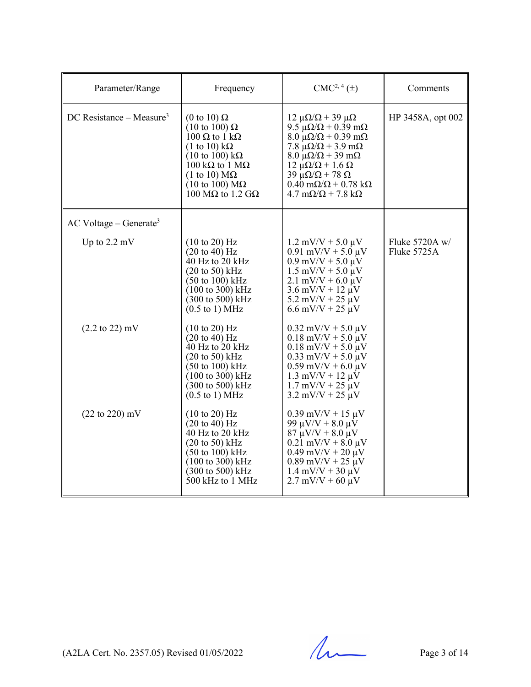| Parameter/Range                      | Frequency                                                                                                                                                                                                                                                                                                    | $CMC2, 4(\pm)$                                                                                                                                                                                                                                                                                                                                                                                            | Comments                      |
|--------------------------------------|--------------------------------------------------------------------------------------------------------------------------------------------------------------------------------------------------------------------------------------------------------------------------------------------------------------|-----------------------------------------------------------------------------------------------------------------------------------------------------------------------------------------------------------------------------------------------------------------------------------------------------------------------------------------------------------------------------------------------------------|-------------------------------|
| DC Resistance – Measure <sup>3</sup> | (0 to 10) $\Omega$<br>$(10 \text{ to } 100) \Omega$<br>$100 \Omega$ to $1 k\Omega$<br>$(1 \text{ to } 10) \text{ k}\Omega$<br>$(10 \text{ to } 100) \text{ k}\Omega$<br>100 k $\Omega$ to 1 M $\Omega$<br>$(1 \text{ to } 10) \text{ M}\Omega$<br>$(10 \text{ to } 100) \text{ M}\Omega$<br>100 MΩ to 1.2 GΩ | $12 \mu\Omega/\Omega + 39 \mu\Omega$<br>9.5 $\mu\Omega/\Omega$ + 0.39 m $\Omega$<br>$8.0 \mu\Omega/\Omega + 0.39 \text{ m}\Omega$<br>7.8 $\mu\Omega/\Omega$ + 3.9 m $\Omega$<br>$8.0 \mu\Omega/\Omega + 39 \mu\Omega$<br>$12 \mu\Omega/\Omega + 1.6 \Omega$<br>$39 \mu\Omega/\Omega + 78 \Omega$<br>$0.40 \text{ m}\Omega/\Omega + 0.78 \text{ k}\Omega$<br>$4.7 \text{ m}\Omega/\Omega$ + 7.8 k $\Omega$ | HP 3458A, opt 002             |
| $AC$ Voltage – Generate <sup>3</sup> |                                                                                                                                                                                                                                                                                                              |                                                                                                                                                                                                                                                                                                                                                                                                           |                               |
| Up to $2.2 \text{ mV}$               | $(10 \text{ to } 20)$ Hz<br>$(20 \text{ to } 40)$ Hz<br>40 Hz to 20 kHz<br>$(20 \text{ to } 50)$ kHz<br>$(50 \text{ to } 100) \text{ kHz}$<br>$(100 \text{ to } 300) \text{ kHz}$<br>(300 to 500) kHz<br>$(0.5 \text{ to } 1) \text{ MHz}$                                                                   | $1.2$ mV/V + 5.0 $\mu$ V<br>$0.91$ mV/V + 5.0 $\mu$ V<br>$0.9$ mV/V + 5.0 $\mu$ V<br>$1.5$ mV/V + $5.0$ $\mu$ V<br>$2.1$ mV/V + 6.0 $\mu$ V<br>$3.6$ mV/V + 12 $\mu$ V<br>$5.2$ mV/V + 25 $\mu$ V<br>$6.6$ mV/V + 25 $\mu$ V                                                                                                                                                                              | Fluke 5720A w/<br>Fluke 5725A |
| $(2.2 \text{ to } 22) \text{ mV}$    | $(10 \text{ to } 20)$ Hz<br>$(20 \text{ to } 40)$ Hz<br>40 Hz to 20 kHz<br>$(20 \text{ to } 50)$ kHz<br>$(50 \text{ to } 100) \text{ kHz}$<br>$(100 \text{ to } 300) \text{ kHz}$<br>$(300 \text{ to } 500) \text{ kHz}$<br>$(0.5 \text{ to } 1) \text{ MHz}$                                                | $0.32$ mV/V + 5.0 $\mu$ V<br>$0.18$ mV/V + 5.0 $\mu$ V<br>$0.18$ mV/V + 5.0 $\mu$ V<br>$0.33$ mV/V + 5.0 $\mu$ V<br>$0.59$ mV/V + 6.0 $\mu$ V<br>$1.3$ mV/V + 12 $\mu$ V<br>$1.7$ mV/V + 25 $\mu$ V<br>$3.2 \text{ mV/V} + 25 \text{ \mu V}$                                                                                                                                                              |                               |
| $(22 \text{ to } 220) \text{ mV}$    | $(10 \text{ to } 20)$ Hz<br>$(20 \text{ to } 40)$ Hz<br>$40$ Hz to $20$ kHz<br>$(20 \text{ to } 50)$ kHz<br>$(50 \text{ to } 100) \text{ kHz}$<br>$(100 \text{ to } 300) \text{ kHz}$<br>$(300 \text{ to } 500) \text{ kHz}$<br>500 kHz to 1 MHz                                                             | $0.39$ mV/V + 15 $\mu$ V<br>99 $\mu$ V/V + 8.0 $\mu$ V<br>$87 \mu V/V + 8.0 \mu V$<br>$0.21$ mV/V + 8.0 $\mu$ V<br>$0.49$ mV/V + 20 $\mu$ V<br>$0.89$ mV/V + 25 $\mu$ V<br>$1.4$ mV/V + 30 $\mu$ V<br>$2.7 \text{ mV/V} + 60 \text{ \mu V}$                                                                                                                                                               |                               |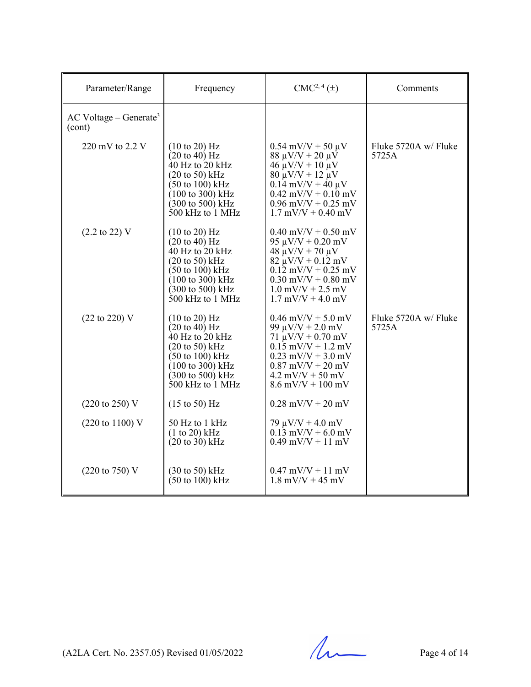| Parameter/Range                                | Frequency                                                                                                                                                                                                                                                | $CMC2, 4(\pm)$                                                                                                                                                                                                                     | Comments                      |
|------------------------------------------------|----------------------------------------------------------------------------------------------------------------------------------------------------------------------------------------------------------------------------------------------------------|------------------------------------------------------------------------------------------------------------------------------------------------------------------------------------------------------------------------------------|-------------------------------|
| $AC$ Voltage – Generate <sup>3</sup><br>(cont) |                                                                                                                                                                                                                                                          |                                                                                                                                                                                                                                    |                               |
| 220 mV to 2.2 V                                | $(10 \text{ to } 20)$ Hz<br>$(20 \text{ to } 40)$ Hz<br>40 Hz to 20 kHz<br>$(20 \text{ to } 50)$ kHz<br>$(50 \text{ to } 100) \text{ kHz}$<br>$(100 \text{ to } 300) \text{ kHz}$<br>$(300 \text{ to } 500) \text{ kHz}$<br>$500$ kHz to $1$ MHz         | $0.54$ mV/V + 50 $\mu$ V<br>$88 \mu V/V + 20 \mu V$<br>$46 \mu V/V + 10 \mu V$<br>$80 \mu V/V + 12 \mu V$<br>$0.14$ mV/V + 40 $\mu$ V<br>$0.42$ mV/V + $0.10$ mV<br>$0.96$ mV/V + $0.25$ mV<br>$1.7$ mV/V + 0.40 mV                | Fluke 5720A w/ Fluke<br>5725A |
| $(2.2 \text{ to } 22)$ V                       | $(10 \text{ to } 20)$ Hz<br>$(20 \text{ to } 40) \text{ Hz}$<br>40 Hz to 20 kHz<br>$(20 \text{ to } 50)$ kHz<br>$(50 \text{ to } 100) \text{ kHz}$<br>$(100 \text{ to } 300) \text{ kHz}$<br>$(300 \text{ to } 500) \text{ kHz}$<br>$500$ kHz to $1$ MHz | $0.40$ mV/V + $0.50$ mV<br>$95 \mu V/V + 0.20 \text{ mV}$<br>$48 \mu V/V + 70 \mu V$<br>$82 \mu V/V + 0.12 \ mV$<br>$0.12$ mV/V + 0.25 mV<br>$0.30$ mV/V + $0.80$ mV<br>$1.0$ mV/V + 2.5 mV<br>$1.7 \text{ mV/V} + 4.0 \text{ mV}$ |                               |
| (22 to 220) V                                  | $(10 \text{ to } 20)$ Hz<br>$(20 \text{ to } 40)$ Hz<br>40 Hz to 20 kHz<br>$(20 \text{ to } 50)$ kHz<br>$(50 \text{ to } 100) \text{ kHz}$<br>$(100 \text{ to } 300) \text{ kHz}$<br>$(300 \text{ to } 500) \text{ kHz}$<br>$500$ kHz to 1 MHz           | $0.46$ mV/V + 5.0 mV<br>99 $\mu$ V/V + 2.0 mV<br>$71 \mu V/V + 0.70 \text{ mV}$<br>$0.15$ mV/V + 1.2 mV<br>$0.23$ mV/V + 3.0 mV<br>$0.87$ mV/V + 20 mV<br>$4.2$ mV/V + 50 mV<br>$8.6$ mV/V + 100 mV                                | Fluke 5720A w/ Fluke<br>5725A |
| $(220 \text{ to } 250) \text{ V}$              | $(15 \text{ to } 50)$ Hz                                                                                                                                                                                                                                 | $0.28$ mV/V + 20 mV                                                                                                                                                                                                                |                               |
| $(220 \text{ to } 1100) \text{ V}$             | 50 Hz to 1 kHz<br>(1 to 20) kHz<br>$(20 \text{ to } 30)$ kHz                                                                                                                                                                                             | $79 \mu V/V + 4.0 \ mV$<br>$0.13$ mV/V + 6.0 mV<br>$0.49$ mV/V + 11 mV                                                                                                                                                             |                               |
| $(220 \text{ to } 750)$ V                      | $(30 \text{ to } 50)$ kHz<br>$(50 \text{ to } 100) \text{ kHz}$                                                                                                                                                                                          | $0.47$ mV/V + 11 mV<br>$1.8$ mV/V + 45 mV                                                                                                                                                                                          |                               |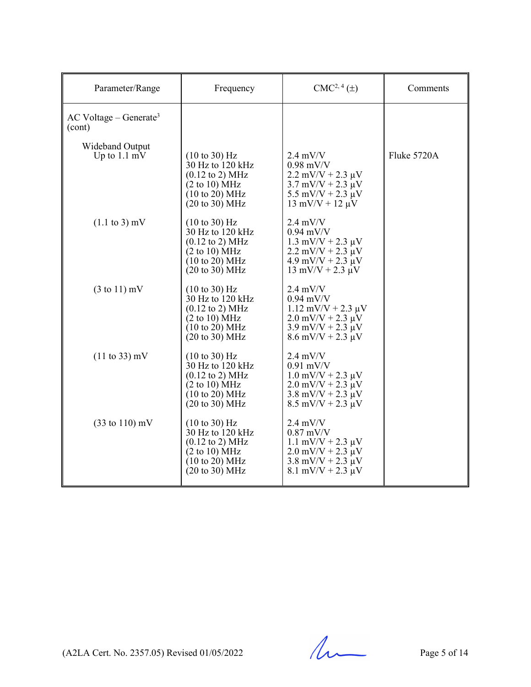| Parameter/Range                                | Frequency                                                                                                                                                                     | $CMC2, 4(\pm)$                                                                                                                                                       | Comments    |
|------------------------------------------------|-------------------------------------------------------------------------------------------------------------------------------------------------------------------------------|----------------------------------------------------------------------------------------------------------------------------------------------------------------------|-------------|
| $AC$ Voltage – Generate <sup>3</sup><br>(cont) |                                                                                                                                                                               |                                                                                                                                                                      |             |
| Wideband Output<br>Up to $1.1 \text{ mV}$      | $(10 \text{ to } 30)$ Hz<br>30 Hz to 120 kHz<br>$(0.12 \text{ to } 2) \text{ MHz}$<br>(2 to 10) MHz<br>$(10 \text{ to } 20) \text{ MHz}$<br>$(20 \text{ to } 30) \text{ MHz}$ | $2.4$ mV/V<br>$0.98$ mV/V<br>$2.2$ mV/V + $2.3 \mu$ V<br>$3.7 \text{ mV/V} + 2.3 \text{ }\mu\text{V}$<br>5.5 mV/V + 2.3 $\mu$ V<br>$13 \text{ mV/V} + 12 \text{ µV}$ | Fluke 5720A |
| $(1.1 \text{ to } 3) \text{ mV}$               | $(10 \text{ to } 30)$ Hz<br>30 Hz to 120 kHz<br>$(0.12 \text{ to } 2) \text{ MHz}$<br>(2 to 10) MHz<br>$(10 \text{ to } 20) \text{ MHz}$<br>$(20 \text{ to } 30) \text{ MHz}$ | $2.4$ mV/V<br>$0.94$ mV/V<br>$1.3$ mV/V + 2.3 $\mu$ V<br>$2.2$ mV/V + $2.3 \mu$ V<br>$4.9$ mV/V + 2.3 $\mu$ V<br>$13 \text{ mV/V} + 2.3 \text{ µV}$                  |             |
| $(3 \text{ to } 11)$ mV                        | $(10 \text{ to } 30)$ Hz<br>30 Hz to 120 kHz<br>$(0.12 \text{ to } 2) \text{ MHz}$<br>(2 to 10) MHz<br>$(10 \text{ to } 20) \text{ MHz}$<br>$(20 \text{ to } 30) \text{ MHz}$ | $2.4$ mV/V<br>$0.94$ mV/V<br>$1.12$ mV/V + 2.3 $\mu$ V<br>$2.0$ mV/V + $2.3 \mu$ V<br>$3.9$ mV/V + 2.3 $\mu$ V<br>$8.6$ mV/V + 2.3 $\mu$ V                           |             |
| $(11 \text{ to } 33) \text{ mV}$               | $(10 \text{ to } 30)$ Hz<br>30 Hz to 120 kHz<br>$(0.12 \text{ to } 2) \text{ MHz}$<br>(2 to 10) MHz<br>(10 to 20) MHz<br>$(20 \text{ to } 30) \text{ MHz}$                    | $2.4$ mV/V<br>$0.91$ mV/V<br>$1.0$ mV/V + 2.3 $\mu$ V<br>$2.0$ mV/V + $2.3 \mu$ V<br>$3.8$ mV/V + 2.3 $\mu$ V<br>$8.5$ mV/V + 2.3 $\mu$ V                            |             |
| $(33 \text{ to } 110) \text{ mV}$              | $(10 \text{ to } 30)$ Hz<br>30 Hz to 120 kHz<br>$(0.12 \text{ to } 2) \text{ MHz}$<br>(2 to 10) MHz<br>$(10 \text{ to } 20) \text{ MHz}$<br>$(20 \text{ to } 30) \text{ MHz}$ | $2.4$ mV/V<br>$0.87$ mV/V<br>$1.1$ mV/V + 2.3 $\mu$ V<br>$2.0$ mV/V + $2.3 \mu$ V<br>$3.8$ mV/V + 2.3 $\mu$ V<br>$8.1$ mV/V + 2.3 $\mu$ V                            |             |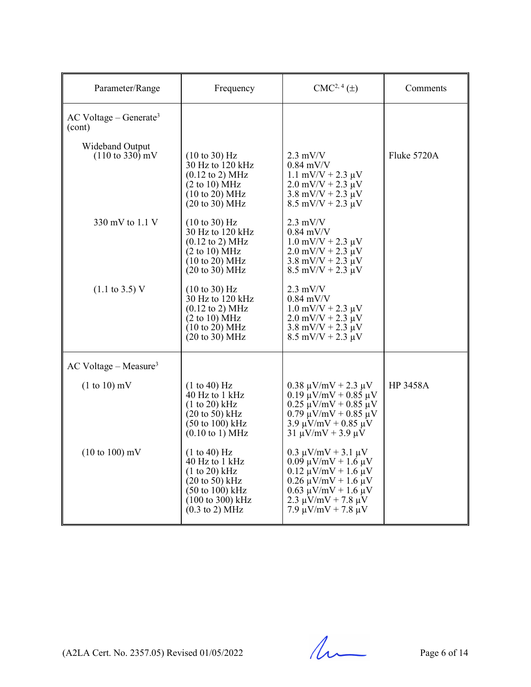| Parameter/Range                                       | Frequency                                                                                                                                                                                        | $CMC2, 4(\pm)$                                                                                                                                                                                                     | Comments        |
|-------------------------------------------------------|--------------------------------------------------------------------------------------------------------------------------------------------------------------------------------------------------|--------------------------------------------------------------------------------------------------------------------------------------------------------------------------------------------------------------------|-----------------|
| $AC$ Voltage – Generate <sup>3</sup><br>(cont)        |                                                                                                                                                                                                  |                                                                                                                                                                                                                    |                 |
| Wideband Output<br>$(110 \text{ to } 330) \text{ mV}$ | $(10 \text{ to } 30)$ Hz<br>30 Hz to 120 kHz<br>$(0.12 \text{ to } 2) \text{ MHz}$<br>(2 to 10) MHz<br>(10 to 20) MHz<br>$(20 \text{ to } 30) \text{ MHz}$                                       | $2.3$ mV/V<br>$0.84$ mV/V<br>$1.1$ mV/V + 2.3 $\mu$ V<br>$2.0$ mV/V + $2.3 \mu$ V<br>$3.8 \text{ mV/V} + 2.3 \text{ }\mu\text{V}$<br>$8.5 \text{ mV/V} + 2.3 \text{ }\mu\text{V}$                                  | Fluke 5720A     |
| 330 mV to $1.1$ V                                     | $(10 \text{ to } 30)$ Hz<br>30 Hz to 120 kHz<br>$(0.12 \text{ to } 2) \text{ MHz}$<br>(2 to 10) MHz<br>$(10 \text{ to } 20) \text{ MHz}$<br>$(20 \text{ to } 30) \text{ MHz}$                    | $2.3$ mV/V<br>$0.84$ mV/V<br>$1.0$ mV/V + 2.3 $\mu$ V<br>$2.0$ mV/V + $2.3 \mu$ V<br>$3.8$ mV/V + 2.3 $\mu$ V<br>$8.5$ mV/V + 2.3 $\mu$ V                                                                          |                 |
| $(1.1 \text{ to } 3.5) \text{ V}$                     | $(10 \text{ to } 30)$ Hz<br>$30$ Hz to $120$ kHz<br>$(0.12 \text{ to } 2) \text{ MHz}$<br>(2 to 10) MHz<br>$(10 \text{ to } 20) \text{ MHz}$<br>$(20 \text{ to } 30) \text{ MHz}$                | $2.3$ mV/V<br>$0.84 \text{ mV/V}$<br>$1.0$ mV/V + 2.3 $\mu$ V<br>$2.0$ mV/V + $2.3 \mu$ V<br>$3.8 \text{ mV/V} + 2.3 \text{ }\mu\text{V}$<br>$8.5$ mV/V + 2.3 $\mu$ V                                              |                 |
| $AC$ Voltage – Measure <sup>3</sup>                   |                                                                                                                                                                                                  |                                                                                                                                                                                                                    |                 |
| $(1 to 10)$ mV                                        | (1 to 40) Hz<br>40 Hz to 1 kHz<br>(1 to 20) kHz<br>$(20 \text{ to } 50)$ kHz<br>$(50 \text{ to } 100) \text{ kHz}$<br>$(0.10 \text{ to } 1) \text{ MHz}$                                         | $0.38 \mu V/mV + 2.3 \mu V$<br>$0.19 \mu V/mV + 0.85 \mu V$<br>$0.25 \mu V/mV + 0.85 \mu V$<br>$0.79 \mu V/mV + 0.85 \mu V$<br>$3.9 \mu V/mV + 0.85 \mu V$<br>$31 \mu V/mV + 3.9 \mu V$                            | <b>HP 3458A</b> |
| $(10 \text{ to } 100) \text{ mV}$                     | (1 to 40) Hz<br>40 Hz to 1 kHz<br>$(1 to 20)$ kHz<br>$(20 \text{ to } 50)$ kHz<br>$(50 \text{ to } 100) \text{ kHz}$<br>$(100 \text{ to } 300) \text{ kHz}$<br>$(0.3 \text{ to } 2) \text{ MHz}$ | $0.3 \mu V/mV + 3.1 \mu V$<br>$0.09 \mu V/mV + 1.6 \mu V$<br>$0.12 \mu V/mV + 1.6 \mu V$<br>$0.26 \mu V/mV + 1.6 \mu V$<br>$0.63 \mu V/mV + 1.6 \mu V$<br>$2.3 \mu V/mV + 7.8 \mu V$<br>$7.9 \mu V/mV + 7.8 \mu V$ |                 |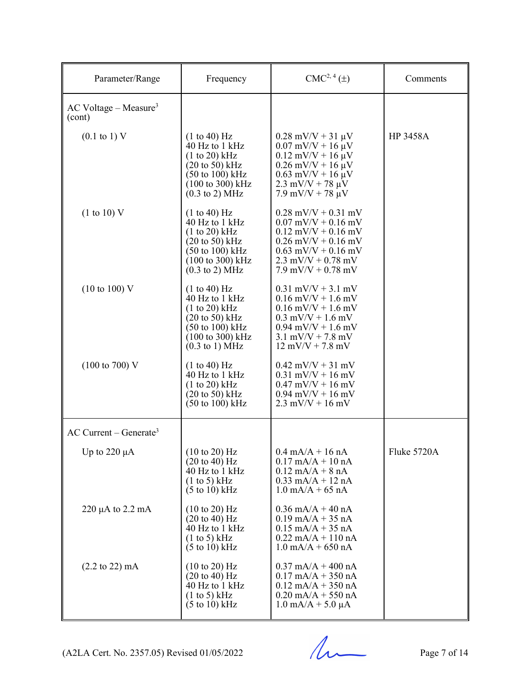| Parameter/Range                               | Frequency                                                                                                                                                                                                | $CMC2, 4(\pm)$                                                                                                                                                                                                                         | Comments        |
|-----------------------------------------------|----------------------------------------------------------------------------------------------------------------------------------------------------------------------------------------------------------|----------------------------------------------------------------------------------------------------------------------------------------------------------------------------------------------------------------------------------------|-----------------|
| $AC$ Voltage – Measure <sup>3</sup><br>(cont) |                                                                                                                                                                                                          |                                                                                                                                                                                                                                        |                 |
| $(0.1 \text{ to } 1) \text{ V}$               | (1 to 40) Hz<br>40 Hz to 1 kHz<br>$(1 to 20)$ kHz<br>$(20 \text{ to } 50) \text{ kHz}$<br>$(50 \text{ to } 100) \text{ kHz}$<br>$(100 \text{ to } 300) \text{ kHz}$<br>$(0.3 \text{ to } 2) \text{ MHz}$ | $0.28$ mV/V + 31 $\mu$ V<br>$0.07$ mV/V + 16 $\mu$ V<br>$0.12$ mV/V + 16 $\mu$ V<br>$0.26$ mV/V + 16 $\mu$ V<br>$0.63$ mV/V + 16 $\mu$ V<br>$2.3 \text{ mV/V} + 78 \text{ }\mu\text{V}$<br>$7.9 \text{ mV/V} + 78 \text{ }\mu\text{V}$ | <b>HP 3458A</b> |
| (1 to 10) V                                   | (1 to 40) Hz<br>40 Hz to 1 kHz<br>(1 to 20) kHz<br>$(20 \text{ to } 50)$ kHz<br>$(50 \text{ to } 100) \text{ kHz}$<br>$(100 \text{ to } 300) \text{ kHz}$<br>$(0.3 \text{ to } 2) \text{ MHz}$           | $0.28$ mV/V + 0.31 mV<br>$0.07$ mV/V + 0.16 mV<br>$0.12$ mV/V + 0.16 mV<br>$0.26$ mV/V + $0.16$ mV<br>$0.63$ mV/V + $0.16$ mV<br>$2.3$ mV/V + 0.78 mV<br>$7.9$ mV/V + 0.78 mV                                                          |                 |
| $(10 \text{ to } 100)$ V                      | (1 to 40) Hz<br>40 Hz to 1 kHz<br>(1 to 20) kHz<br>$(20 \text{ to } 50)$ kHz<br>$(50 \text{ to } 100) \text{ kHz}$<br>$(100 \text{ to } 300) \text{ kHz}$<br>$(0.3 \text{ to } 1)$ MHz                   | $0.31$ mV/V + 3.1 mV<br>$0.16$ mV/V + $1.6$ mV<br>$0.16$ mV/V + 1.6 mV<br>$0.3$ mV/V + 1.6 mV<br>$0.94$ mV/V + 1.6 mV<br>$3.1$ mV/V + 7.8 mV<br>$12 \text{ mV/V} + 7.8 \text{ mV}$                                                     |                 |
| $(100 \text{ to } 700) \text{ V}$             | (1 to 40) Hz<br>40 Hz to 1 kHz<br>(1 to 20) kHz<br>$(20 \text{ to } 50)$ kHz<br>$(50 \text{ to } 100) \text{ kHz}$                                                                                       | $0.42$ mV/V + 31 mV<br>$0.31$ mV/V + 16 mV<br>$0.47$ mV/V + 16 mV<br>$0.94$ mV/V + 16 mV<br>$2.3$ mV/V + 16 mV                                                                                                                         |                 |
| $AC$ Current – Generate <sup>3</sup>          |                                                                                                                                                                                                          |                                                                                                                                                                                                                                        |                 |
| Up to 220 $\mu$ A                             | $(10 \text{ to } 20)$ Hz<br>$(20 \text{ to } 40) \text{ Hz}$<br>40 Hz to 1 kHz<br>$(1 \text{ to } 5)$ kHz<br>$(5 \text{ to } 10) \text{ kHz}$                                                            | $0.4 \text{ mA}/A + 16 \text{ nA}$<br>$0.17$ mA/A + 10 nA<br>$0.12$ mA/A + 8 nA<br>$0.33$ mA/A + 12 nA<br>$1.0 \text{ mA/A} + 65 \text{ nA}$                                                                                           | Fluke 5720A     |
| $220 \mu A$ to $2.2 \mu A$                    | $(10 \text{ to } 20)$ Hz<br>$(20 \text{ to } 40)$ Hz<br>40 Hz to 1 kHz<br>$(1 \text{ to } 5)$ kHz<br>$(5 \text{ to } 10) \text{ kHz}$                                                                    | $0.36$ mA/A + 40 nA<br>$0.19$ mA/A + 35 nA<br>$0.15$ mA/A + 35 nA<br>$0.22$ mA/A + 110 nA<br>$1.0$ mA/A + 650 nA                                                                                                                       |                 |
| $(2.2 \text{ to } 22) \text{ mA}$             | $(10 \text{ to } 20)$ Hz<br>$(20 \text{ to } 40) \text{ Hz}$<br>40 Hz to 1 kHz<br>$(1 \text{ to } 5)$ kHz<br>$(5 \text{ to } 10) \text{ kHz}$                                                            | $0.37$ mA/A + 400 nA<br>$0.17$ mA/A + 350 nA<br>$0.12$ mA/A + 350 nA<br>$0.20$ mA/A + 550 nA<br>$1.0 \text{ mA/A} + 5.0 \mu\text{A}$                                                                                                   |                 |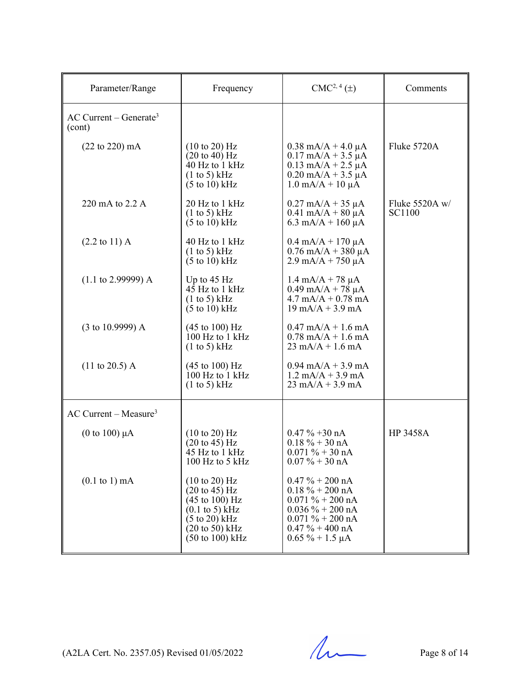| Parameter/Range                                | Frequency                                                                                                                                                                                                                             | $CMC2, 4(\pm)$                                                                                                                                                                      | Comments                 |
|------------------------------------------------|---------------------------------------------------------------------------------------------------------------------------------------------------------------------------------------------------------------------------------------|-------------------------------------------------------------------------------------------------------------------------------------------------------------------------------------|--------------------------|
| $AC$ Current – Generate <sup>3</sup><br>(cont) |                                                                                                                                                                                                                                       |                                                                                                                                                                                     |                          |
| $(22 \text{ to } 220) \text{ mA}$              | $(10 \text{ to } 20)$ Hz<br>$(20 \text{ to } 40)$ Hz<br>40 Hz to 1 kHz<br>(1 to 5) kHz<br>$(5 \text{ to } 10) \text{ kHz}$                                                                                                            | $0.38$ mA/A + 4.0 µA<br>$0.17 \text{ mA/A} + 3.5 \mu\text{A}$<br>$0.13$ mA/A + 2.5 $\mu$ A<br>$0.20$ mA/A + 3.5 $\mu$ A<br>$1.0 \text{ mA/A} + 10 \mu\text{A}$                      | Fluke 5720A              |
| 220 mA to 2.2 A                                | 20 Hz to 1 kHz<br>(1 to 5) kHz<br>$(5 \text{ to } 10) \text{ kHz}$                                                                                                                                                                    | $0.27$ mA/A + 35 $\mu$ A<br>$0.41 \text{ mA} + 80 \mu\text{A}$<br>6.3 mA/A + $160 \mu$ A                                                                                            | Fluke 5520A w/<br>SC1100 |
| $(2.2 \text{ to } 11) \text{ A}$               | 40 Hz to 1 kHz<br>(1 to 5) kHz<br>$(5 \text{ to } 10) \text{ kHz}$                                                                                                                                                                    | $0.4$ mA/A + 170 $\mu$ A<br>$0.76$ mA/A + 380 µA<br>$2.9 \text{ mA/A} + 750 \mu\text{A}$                                                                                            |                          |
| $(1.1 \text{ to } 2.99999)$ A                  | Up to $45$ Hz<br>$4\bar{5}$ Hz to 1 kHz<br>$(1 \text{ to } 5) \text{ kHz}$<br>$(5 \text{ to } 10)$ kHz                                                                                                                                | $1.4 \text{ mA}/A + 78 \mu A$<br>$0.49$ mA/A + 78 $\mu$ A<br>$4.7 \text{ mA/A} + 0.78 \text{ mA}$<br>$19 \text{ mA/A} + 3.9 \text{ mA}$                                             |                          |
| $(3 \text{ to } 10.9999)$ A                    | $(45 \text{ to } 100) \text{ Hz}$<br>100 Hz to 1 kHz<br>$(1 \text{ to } 5) \text{ kHz}$                                                                                                                                               | $0.47$ mA/A + 1.6 mA<br>$0.78$ mA/A + 1.6 mA<br>$23 \text{ mA/A} + 1.6 \text{ mA}$                                                                                                  |                          |
| $(11 \text{ to } 20.5)$ A                      | $(45 \text{ to } 100) \text{ Hz}$<br>$100$ Hz to $1$ kHz<br>$(1 \text{ to } 5)$ kHz                                                                                                                                                   | $0.94$ mA/A + 3.9 mA<br>$1.2 \text{ mA/A} + 3.9 \text{ mA}$<br>$23 \text{ mA/A} + 3.9 \text{ mA}$                                                                                   |                          |
| $AC$ Current – Measure <sup>3</sup>            |                                                                                                                                                                                                                                       |                                                                                                                                                                                     |                          |
| (0 to 100) $\mu$ A                             | $(10 \text{ to } 20)$ Hz<br>$(20 \text{ to } 45) \text{ Hz}$<br>45 Hz to 1 kHz<br>100 Hz to 5 kHz                                                                                                                                     | $0.47 \% + 30 nA$<br>$0.18 \% + 30 nA$<br>$0.071 \% + 30 nA$<br>$0.07 \% + 30 nA$                                                                                                   | <b>HP 3458A</b>          |
| $(0.1 \text{ to } 1) \text{ mA}$               | $(10 \text{ to } 20)$ Hz<br>$(20 \text{ to } 45)$ Hz<br>$(45 \text{ to } 100) \text{ Hz}$<br>$(0.1 \text{ to } 5) \text{ kHz}$<br>$(5 \text{ to } 20) \text{ kHz}$<br>$(20 \text{ to } 50)$ kHz<br>$(50 \text{ to } 100) \text{ kHz}$ | $0.47 \% + 200 nA$<br>$0.18 \% + 200 nA$<br>$0.071 \% + 200 nA$<br>$0.036\% + 200 \text{ nA}$<br>$0.071 \% + 200 \text{ nA}$<br>$0.47 \% + 400 \text{ nA}$<br>$0.65 \% + 1.5 \mu A$ |                          |

(A2LA Cert. No. 2357.05) Revised 01/05/2022 Page 8 of 14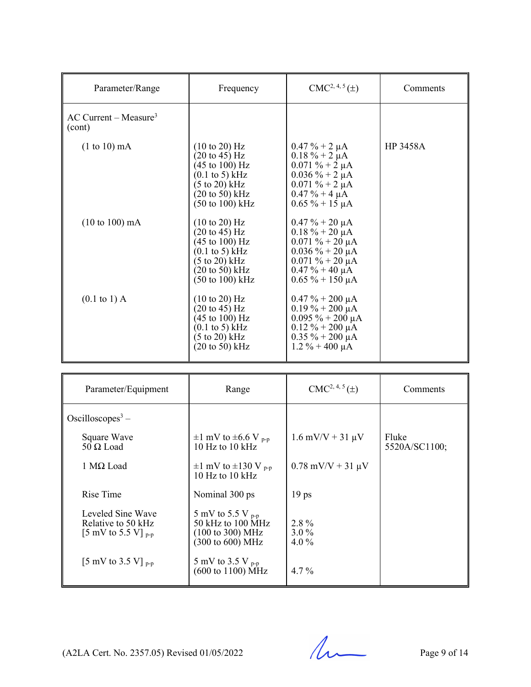| Parameter/Range                               | Frequency                                                                                                                                                                                                                                     | $CMC2, 4, 5(\pm)$                                                                                                                                                      | Comments        |
|-----------------------------------------------|-----------------------------------------------------------------------------------------------------------------------------------------------------------------------------------------------------------------------------------------------|------------------------------------------------------------------------------------------------------------------------------------------------------------------------|-----------------|
| $AC$ Current – Measure <sup>3</sup><br>(cont) |                                                                                                                                                                                                                                               |                                                                                                                                                                        |                 |
| $(1 to 10)$ mA                                | $(10 \text{ to } 20)$ Hz<br>$(20 \text{ to } 45) \text{ Hz}$<br>(45 to 100) Hz<br>$(0.1 \text{ to } 5) \text{ kHz}$<br>$(5 \text{ to } 20) \text{ kHz}$<br>$(20 \text{ to } 50) \text{ kHz}$<br>$(50 \text{ to } 100) \text{ kHz}$            | $0.47 \% + 2 \mu A$<br>$0.18 \% + 2 \mu A$<br>$0.071 \% + 2 \mu A$<br>$0.036 \% + 2 \mu A$<br>$0.071 \% + 2 \mu A$<br>$0.47 \% + 4 \mu A$<br>$0.65 \% + 15 \mu A$      | <b>HP 3458A</b> |
| $(10 \text{ to } 100) \text{ mA}$             | $(10 \text{ to } 20)$ Hz<br>$(20 \text{ to } 45)$ Hz<br>$(45 \text{ to } 100) \text{ Hz}$<br>$(0.1 \text{ to } 5) \text{ kHz}$<br>$(5 \text{ to } 20) \text{ kHz}$<br>$(20 \text{ to } 50) \text{ kHz}$<br>$(50 \text{ to } 100) \text{ kHz}$ | $0.47 \% + 20 \mu A$<br>$0.18 \% + 20 \mu A$<br>$0.071 \% + 20 \mu A$<br>$0.036\% + 20 \mu A$<br>$0.071 \% + 20 \mu A$<br>$0.47 \% + 40 \mu A$<br>$0.65\% + 150 \mu A$ |                 |
| $(0.1 \text{ to } 1)$ A                       | $(10 \text{ to } 20)$ Hz<br>$(20 \text{ to } 45) \text{ Hz}$<br>(45 to 100) Hz<br>$(0.1 \text{ to } 5) \text{ kHz}$<br>$(5 \text{ to } 20) \text{ kHz}$<br>$(20 \text{ to } 50) \text{ kHz}$                                                  | $0.47 \% + 200 \mu A$<br>$0.19\% + 200 \mu A$<br>$0.095 \% + 200 \mu A$<br>$0.12 \% + 200 \mu A$<br>$0.35 \% + 200 \mu A$<br>$1.2 \% + 400 \mu A$                      |                 |

| Parameter/Equipment                                                        | Range                                                                                                                                | $CMC2, 4, 5(\pm)$              | Comments               |
|----------------------------------------------------------------------------|--------------------------------------------------------------------------------------------------------------------------------------|--------------------------------|------------------------|
| Oscilloscopes <sup>3</sup> –                                               |                                                                                                                                      |                                |                        |
| Square Wave<br>$50 \Omega$ Load                                            | $\pm 1$ mV to $\pm 6.6$ V <sub>p-p</sub><br>$10 \text{ Hz}$ to $10 \text{ kHz}$                                                      | $1.6$ mV/V + 31 $\mu$ V        | Fluke<br>5520A/SC1100; |
| 1 Μ $Ω$ Load                                                               | $\pm 1$ mV to $\pm 130$ V <sub>p-p</sub><br>$10$ Hz to $10$ kHz                                                                      | $0.78$ mV/V + 31 $\mu$ V       |                        |
| Rise Time                                                                  | Nominal 300 ps                                                                                                                       | 19 <sub>ps</sub>               |                        |
| Leveled Sine Wave<br>Relative to 50 kHz<br>[5 mV to 5.5 V] $_{\text{p-p}}$ | 5 mV to 5.5 V $_{\text{p-p}}$<br>$50$ kHz to $100$ MHz<br>$(100 \text{ to } 300) \text{ MHz}$<br>$(300 \text{ to } 600) \text{ MHz}$ | $2.8\%$<br>$3.0\%$<br>4.0 $\%$ |                        |
| [5 mV to 3.5 V] $_{p-p}$                                                   | 5 mV to 3.5 V $_{\text{p-p}}$<br>$(600 \text{ to } 1100) \text{ MHz}$                                                                | $4.7\%$                        |                        |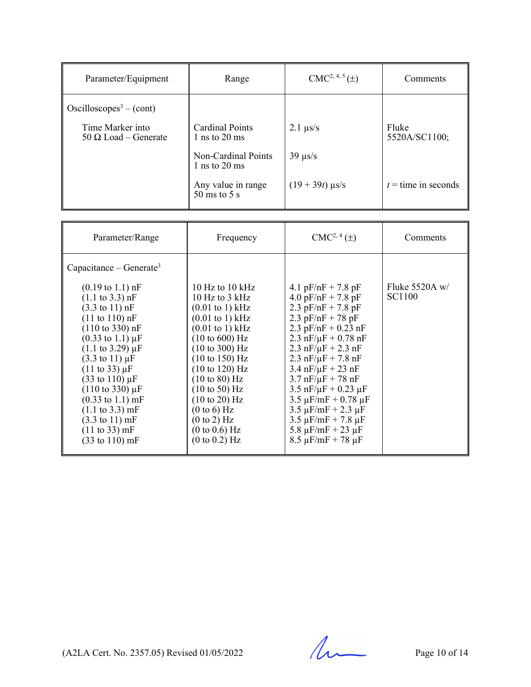| Parameter/Equipment                                     | Range                                                  | $CMC2, 4, 5(\pm)$          | Comments               |
|---------------------------------------------------------|--------------------------------------------------------|----------------------------|------------------------|
| Oscilloscopes <sup>3</sup> – (cont)<br>Time Marker into | Cardinal Points                                        |                            |                        |
| $50 \Omega$ Load – Generate                             | 1 ns to $20 \text{ ms}$                                | $2.1 \ \mu s/s$            | Fluke<br>5520A/SC1100; |
|                                                         | Non-Cardinal Points<br>1 ns to $20 \text{ ms}$         | $39 \text{ }\mu\text{s/s}$ |                        |
|                                                         | Any value in range<br>$50 \text{ ms}$ to $5 \text{ s}$ | $(19 + 39t)$ µs/s          | $t =$ time in seconds  |

| Parameter/Range                                                                                                                                                                                                                                                                                                                                                                                                                                                                                                                                                                                  | Frequency                                                                                                                                                                                                                                                                                                                                                                                                         | $CMC2, 4(\pm)$                                                                                                                                                                                                                                                                                                                                                                                                                                                                                                                                          | Comments                   |
|--------------------------------------------------------------------------------------------------------------------------------------------------------------------------------------------------------------------------------------------------------------------------------------------------------------------------------------------------------------------------------------------------------------------------------------------------------------------------------------------------------------------------------------------------------------------------------------------------|-------------------------------------------------------------------------------------------------------------------------------------------------------------------------------------------------------------------------------------------------------------------------------------------------------------------------------------------------------------------------------------------------------------------|---------------------------------------------------------------------------------------------------------------------------------------------------------------------------------------------------------------------------------------------------------------------------------------------------------------------------------------------------------------------------------------------------------------------------------------------------------------------------------------------------------------------------------------------------------|----------------------------|
| Capacitance – Generate <sup>3</sup>                                                                                                                                                                                                                                                                                                                                                                                                                                                                                                                                                              |                                                                                                                                                                                                                                                                                                                                                                                                                   |                                                                                                                                                                                                                                                                                                                                                                                                                                                                                                                                                         |                            |
| $(0.19 \text{ to } 1.1) \text{ nF}$<br>$(1.1 \text{ to } 3.3) \text{ nF}$<br>$(3.3 \text{ to } 11) \text{ nF}$<br>$(11 \text{ to } 110) \text{ nF}$<br>$(110 \text{ to } 330) \text{ nF}$<br>$(0.33 \text{ to } 1.1) \mu F$<br>$(1.1 \text{ to } 3.29) \mu F$<br>$(3.3 \text{ to } 11) \mu F$<br>$(11 \text{ to } 33) \mu F$<br>$(33 \text{ to } 110) \,\mu\text{F}$<br>$(110 \text{ to } 330) \mu F$<br>$(0.33 \text{ to } 1.1) \text{ mF}$<br>$(1.1 \text{ to } 3.3) \text{ mF}$<br>$(3.3 \text{ to } 11) \text{ mF}$<br>$(11 \text{ to } 33) \text{ mF}$<br>$(33 \text{ to } 110) \text{ mF}$ | 10 Hz to 10 $kHz$<br>10 Hz to $3$ kHz<br>$(0.01 \text{ to } 1) \text{ kHz}$<br>$(0.01 \text{ to } 1) \text{ kHz}$<br>$(0.01 \text{ to } 1) \text{ kHz}$<br>(10 to 600) Hz<br>$(10 \text{ to } 300) \text{ Hz}$<br>$(10 \text{ to } 150)$ Hz<br>(10 to 120) Hz<br>$(10 \text{ to } 80)$ Hz<br>$(10 \text{ to } 50)$ Hz<br>$(10 \text{ to } 20)$ Hz<br>(0 to 6) Hz<br>(0 to 2) Hz<br>(0 to 0.6) Hz<br>(0 to 0.2) Hz | 4.1 $pF/nF + 7.8 pF$<br>4.0 $pF/nF + 7.8 pF$<br>2.3 $pF/nF + 7.8 pF$<br>$2.3 \,\mathrm{pF/nF} + 78 \,\mathrm{pF}$<br>2.3 $pF/nF + 0.23$ nF<br>2.3 $nF/\mu F + 0.78$ nF<br>$2.3 \text{ nF}/\mu\text{F} + 2.3 \text{ nF}$<br>2.3 $nF/\mu F$ + 7.8 $nF$<br>$3.4 \text{ nF}/\mu\text{F} + 23 \text{ nF}$<br>$3.7 \text{ nF}/\mu\text{F} + 78 \text{ nF}$<br>$3.5$ nF/ $\mu$ F + 0.23 $\mu$ F<br>$3.5 \mu$ F/mF + 0.78 $\mu$ F<br>$3.5 \mu$ F/mF + 2.3 $\mu$ F<br>$3.5 \mu$ F/mF + 7.8 $\mu$ F<br>5.8 $\mu$ F/mF + 23 $\mu$ F<br>$8.5 \mu$ F/mF + 78 $\mu$ F | Fluke $5520A w/$<br>SC1100 |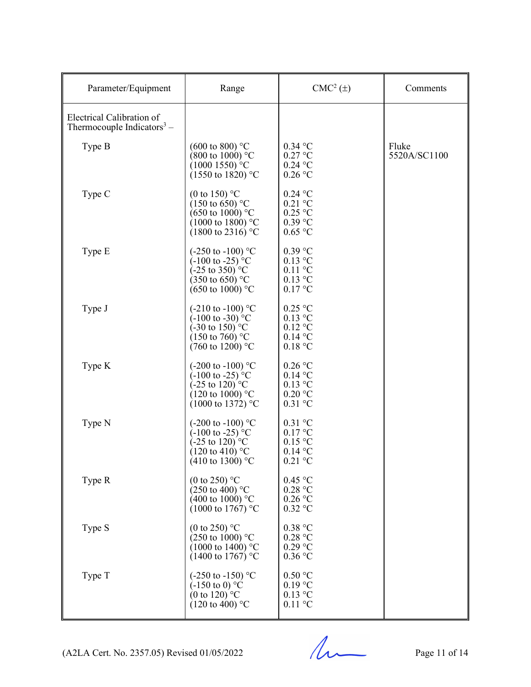| Parameter/Equipment                                                 | Range                                                                                                                                                                     | $CMC2(\pm)$                                                                    | Comments              |
|---------------------------------------------------------------------|---------------------------------------------------------------------------------------------------------------------------------------------------------------------------|--------------------------------------------------------------------------------|-----------------------|
| Electrical Calibration of<br>Thermocouple Indicators <sup>3</sup> – |                                                                                                                                                                           |                                                                                |                       |
| Type B                                                              | $(600 \text{ to } 800)$ °C<br>$(800 \text{ to } 1000)$ °C<br>$(10001550)$ °C<br>$(1550 \text{ to } 1820)$ °C                                                              | $0.34$ °C<br>$0.27$ °C<br>$0.24$ °C<br>$0.26$ °C                               | Fluke<br>5520A/SC1100 |
| Type C                                                              | (0 to 150) $^{\circ}$ C<br>$(150 \text{ to } 650)$ °C<br>$(650 \text{ to } 1000)$ °C<br>$(1000 \text{ to } 1800)$ °C<br>$(1800 \text{ to } 2316)$ °C                      | $0.24$ °C<br>$0.21$ °C<br>$0.25\ ^{\circ}\textrm{C}$<br>$0.39$ °C<br>$0.65$ °C |                       |
| Type E                                                              | $(-250 \text{ to } -100)$ °C<br>$(-100 \text{ to } -25)$ <sup>o</sup> C<br>$(-25 \text{ to } 350)^{\circ}$ C<br>$(350 \text{ to } 650)$ °C<br>$(650 \text{ to } 1000)$ °C | $0.39$ °C<br>$0.13$ °C<br>$0.11$ °C<br>$0.13$ °C<br>0.17 °C                    |                       |
| Type J                                                              | $(-210 \text{ to } -100)$ °C<br>$(-100 \text{ to } -30)$ <sup>o</sup> C<br>$(-30 \text{ to } 150)^{\circ}$ C<br>$(150 \text{ to } 760)$ °C<br>$(760 \text{ to } 1200)$ °C | $0.25$ °C<br>$0.13$ °C<br>$0.12 \text{ °C}$<br>$0.14$ °C<br>0.18 °C            |                       |
| Type K                                                              | (-200 to -100) $^{\circ}$ C<br>$(-100 \text{ to } -25)$ <sup>o</sup> C<br>$(-25 \text{ to } 120)$ °C<br>$(120 \text{ to } 1000)$ °C<br>$(1000 \text{ to } 1372)$ °C       | $0.26$ °C<br>$0.14$ °C<br>$0.13$ °C<br>0.20 °C<br>$0.31$ °C                    |                       |
| Type N                                                              | (-200 to -100) $^{\circ}$ C<br>$(-100 \text{ to } -25)$ <sup>o</sup> C<br>$(-25 \text{ to } 120)$ °C<br>$(120 \text{ to } 410)$ °C<br>$(410 \text{ to } 1300)$ °C         | $0.31$ °C<br>$0.17 \text{ °C}$<br>$0.15$ °C<br>$0.14\text{ °C}$<br>$0.21$ °C   |                       |
| Type R                                                              | (0 to 250) $^{\circ}$ C<br>$(250 \text{ to } 400)$ °C<br>$(400 \text{ to } 1000)$ °C<br>$(1000 \text{ to } 1767)$ °C                                                      | 0.45 °C<br>0.28 °C<br>$0.26$ °C<br>$0.32$ °C                                   |                       |
| Type S                                                              | (0 to 250) $^{\circ}$ C<br>(250 to 1000) °C<br>$(1000 \text{ to } 1400)$ °C<br>$(1400 \text{ to } 1767)$ °C                                                               | 0.38 °C<br>0.28 °C<br>$0.29$ °C<br>$0.36$ °C                                   |                       |
| Type T                                                              | $(-250 \text{ to } -150)$ °C<br>$(-150 \text{ to } 0)$ °C<br>(0 to 120) $^{\circ}$ C<br>$(120 \text{ to } 400)$ °C                                                        | 0.50 °C<br>$0.19$ °C<br>$0.13$ °C<br>$0.11$ °C                                 |                       |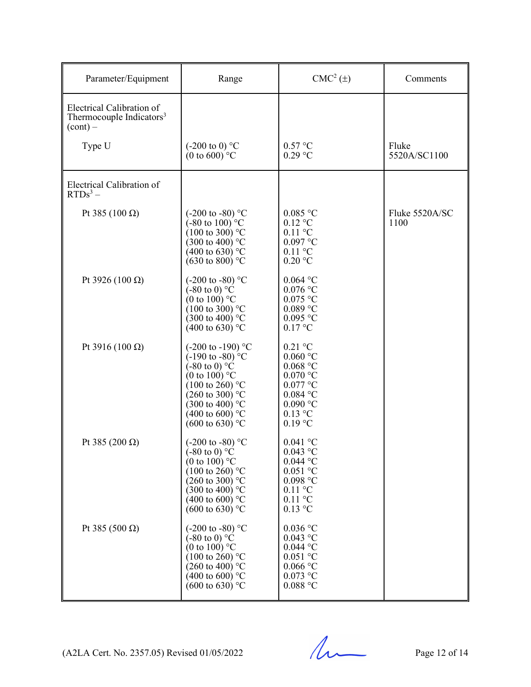| Parameter/Equipment                                                             | Range                                                                                                                                                                                                                                                                    | $CMC2(\pm)$                                                                                                                       | Comments               |
|---------------------------------------------------------------------------------|--------------------------------------------------------------------------------------------------------------------------------------------------------------------------------------------------------------------------------------------------------------------------|-----------------------------------------------------------------------------------------------------------------------------------|------------------------|
| Electrical Calibration of<br>Thermocouple Indicators <sup>3</sup><br>$(cont) -$ |                                                                                                                                                                                                                                                                          |                                                                                                                                   |                        |
| Type U                                                                          | $(-200 \text{ to } 0)$ °C<br>(0 to 600) $^{\circ}$ C                                                                                                                                                                                                                     | 0.57 °C<br>$0.29$ °C                                                                                                              | Fluke<br>5520A/SC1100  |
| Electrical Calibration of<br>$RTDs^3$ –                                         |                                                                                                                                                                                                                                                                          |                                                                                                                                   |                        |
| Pt 385 (100 Ω)                                                                  | $(-200 \text{ to } -80)$ °C<br>$(-80 \text{ to } 100)^{\circ}$ °C<br>$(100 \text{ to } 300)$ °C<br>$(300 \text{ to } 400)$ °C<br>$(400 \text{ to } 630)$ °C<br>$(630 \text{ to } 800)$ °C                                                                                | $0.085$ °C<br>$0.12$ °C<br>$0.11$ °C<br>$0.097$ °C<br>$0.11$ °C<br>$0.20$ °C                                                      | Fluke 5520A/SC<br>1100 |
| Pt 3926 (100 $\Omega$ )                                                         | $(-200 \text{ to } -80)$ °C<br>$(-80 \text{ to } 0)$ °C<br>(0 to 100) $^{\circ}$ C<br>$(100 \text{ to } 300)$ °C<br>$(300 \text{ to } 400)$ °C<br>$(400 \text{ to } 630)$ °C                                                                                             | $0.064$ °C<br>$0.076$ °C<br>$0.075$ °C<br>$0.089$ °C<br>$0.095$ °C<br>0.17 °C                                                     |                        |
| Pt 3916 (100 $\Omega$ )                                                         | $(-200 \text{ to } -190)$ °C<br>$(-190 \text{ to } -80)$ °C<br>$(-80 \text{ to } 0)$ °C<br>(0 to 100) $^{\circ}$ C<br>$(100 \text{ to } 260)$ °C<br>$(260 \text{ to } 300)$ °C<br>$(300 \text{ to } 400)$ °C<br>$(400 \text{ to } 600)$ °C<br>$(600 \text{ to } 630)$ °C | $0.21$ °C<br>$0.060$ °C<br>$0.068$ $^{\circ}$ C<br>$0.070$ °C<br>$0.077$ °C<br>$0.084$ °C<br>$0.090$ °C<br>$0.13$ °C<br>$0.19$ °C |                        |
| Pt 385 (200 Ω)                                                                  | $(-200 \text{ to } -80)$ °C<br>$(-80 \text{ to } 0)$ °C<br>(0 to 100) $^{\circ}$ C<br>$(100 \text{ to } 260)$ °C<br>$(260 \text{ to } 300)$ °C<br>$(300 \text{ to } 400)$ °C<br>$(400 \text{ to } 600)$ °C<br>$(600 \text{ to } 630)$ °C                                 | $0.041$ °C<br>$0.043$ °C<br>0.044 °C<br>$0.051$ °C<br>$0.098$ °C<br>$0.11\text{ °C}$<br>$0.11$ °C<br>$0.13$ °C                    |                        |
| Pt 385 (500 Ω)                                                                  | $(-200 \text{ to } -80)$ °C<br>$(-80 \text{ to } 0)$ °C<br>(0 to 100) $^{\circ}$ C<br>$(100 \text{ to } 260)$ °C<br>$(260 \text{ to } 400)$ °C<br>$(400 \text{ to } 600)$ °C<br>$(600 \text{ to } 630)$ °C                                                               | $0.036$ °C<br>$0.043$ °C<br>$0.044$ °C<br>$0.051$ °C<br>$0.066$ °C<br>$0.073$ °C<br>$0.088$ °C                                    |                        |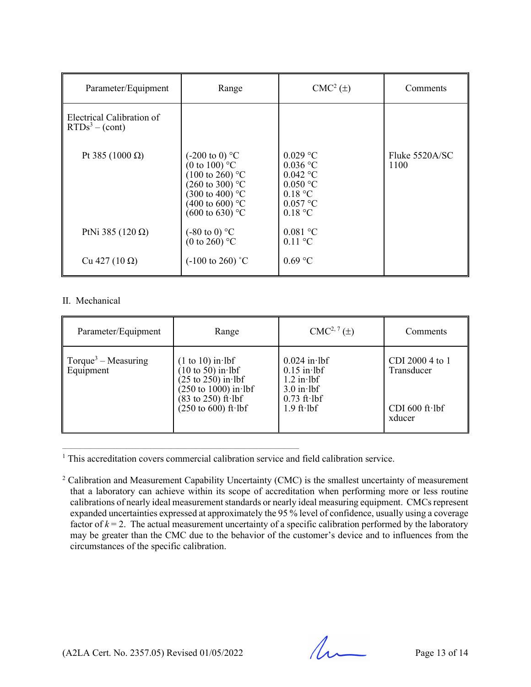| Parameter/Equipment                           | Range                                                                                                                                                                                                             | $CMC2(\pm)$                                                                              | Comments                 |
|-----------------------------------------------|-------------------------------------------------------------------------------------------------------------------------------------------------------------------------------------------------------------------|------------------------------------------------------------------------------------------|--------------------------|
| Electrical Calibration of<br>$RTDs3 - (cont)$ |                                                                                                                                                                                                                   |                                                                                          |                          |
| Pt 385 (1000 $\Omega$ )                       | $(-200 \text{ to } 0)$ °C<br>(0 to 100) $\mathrm{^{\circ}C}$<br>$(100 \text{ to } 260)$ °C<br>$(260 \text{ to } 300)$ °C<br>$(300 \text{ to } 400)$ °C<br>(400 to 600) $^{\circ}$ C<br>$(600 \text{ to } 630)$ °C | $0.029$ °C<br>$0.036$ °C<br>$0.042$ °C<br>$0.050$ °C<br>0.18 °C<br>0.057 °C<br>$0.18$ °C | Fluke $5520A/SC$<br>1100 |
| PtNi 385 (120 $\Omega$ )                      | $(-80 \text{ to } 0)$ °C<br>(0 to 260) $^{\circ}$ C                                                                                                                                                               | 0.081 °C<br>$0.11 \text{ °C}$                                                            |                          |
| Cu 427 (10 Ω)                                 | $(-100 \text{ to } 260)$ °C                                                                                                                                                                                       | $0.69$ °C                                                                                |                          |

### II. Mechanical

| Parameter/Equipment                          | Range                                                                                                                                                                                                     | $CMC2, 7(\pm)$                                                                                           | Comments                                                            |
|----------------------------------------------|-----------------------------------------------------------------------------------------------------------------------------------------------------------------------------------------------------------|----------------------------------------------------------------------------------------------------------|---------------------------------------------------------------------|
| Torque <sup>3</sup> – Measuring<br>Equipment | $(1 to 10)$ in lbf<br>$(10 \text{ to } 50)$ in lbf<br>$(25 \text{ to } 250)$ in lbf<br>$(250 \text{ to } 1000) \text{ in } \text{lbf}$<br>$(83$ to 250) ft lbf<br>$(250 \text{ to } 600) \text{ ft·lbf})$ | $0.024$ in lbf<br>$0.15$ in lbf<br>$1.2$ in lbf<br>$3.0$ in lbf<br>$0.73$ ft $\cdot$ lbf<br>$1.9$ ft lbf | CDI 2000 4 to 1<br>Transducer<br>CDI $600$ ft $\cdot$ lbf<br>xducer |

<sup>1</sup> This accreditation covers commercial calibration service and field calibration service.

 $\mathcal{L}_\mathcal{L} = \{ \mathcal{L}_\mathcal{L} = \{ \mathcal{L}_\mathcal{L} = \{ \mathcal{L}_\mathcal{L} = \{ \mathcal{L}_\mathcal{L} = \{ \mathcal{L}_\mathcal{L} = \{ \mathcal{L}_\mathcal{L} = \{ \mathcal{L}_\mathcal{L} = \{ \mathcal{L}_\mathcal{L} = \{ \mathcal{L}_\mathcal{L} = \{ \mathcal{L}_\mathcal{L} = \{ \mathcal{L}_\mathcal{L} = \{ \mathcal{L}_\mathcal{L} = \{ \mathcal{L}_\mathcal{L} = \{ \mathcal{L}_\mathcal{$ 

 $2$  Calibration and Measurement Capability Uncertainty (CMC) is the smallest uncertainty of measurement that a laboratory can achieve within its scope of accreditation when performing more or less routine calibrations of nearly ideal measurement standards or nearly ideal measuring equipment. CMCs represent expanded uncertainties expressed at approximately the 95 % level of confidence, usually using a coverage factor of  $k = 2$ . The actual measurement uncertainty of a specific calibration performed by the laboratory may be greater than the CMC due to the behavior of the customer's device and to influences from the circumstances of the specific calibration.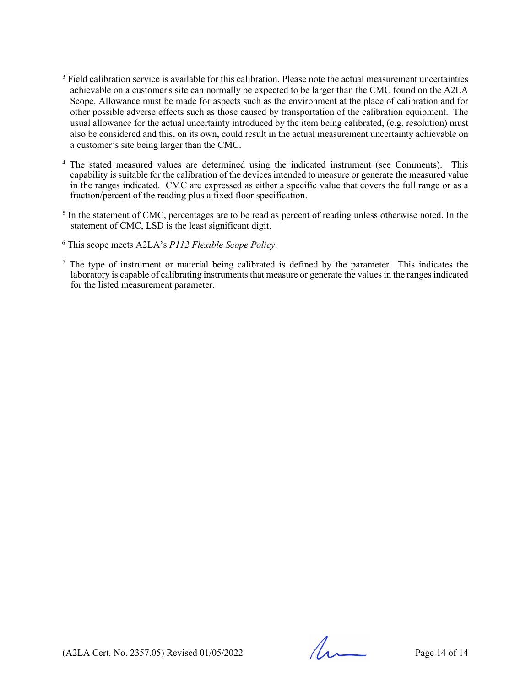- <sup>3</sup> Field calibration service is available for this calibration. Please note the actual measurement uncertainties achievable on a customer's site can normally be expected to be larger than the CMC found on the A2LA Scope. Allowance must be made for aspects such as the environment at the place of calibration and for other possible adverse effects such as those caused by transportation of the calibration equipment. The usual allowance for the actual uncertainty introduced by the item being calibrated, (e.g. resolution) must also be considered and this, on its own, could result in the actual measurement uncertainty achievable on a customer's site being larger than the CMC.
- <sup>4</sup> The stated measured values are determined using the indicated instrument (see Comments). This capability is suitable for the calibration of the devices intended to measure or generate the measured value in the ranges indicated. CMC are expressed as either a specific value that covers the full range or as a fraction/percent of the reading plus a fixed floor specification.
- <sup>5</sup> In the statement of CMC, percentages are to be read as percent of reading unless otherwise noted. In the statement of CMC, LSD is the least significant digit.
- <sup>6</sup> This scope meets A2LA's *P112 Flexible Scope Policy*.
- <sup>7</sup> The type of instrument or material being calibrated is defined by the parameter. This indicates the laboratory is capable of calibrating instruments that measure or generate the values in the ranges indicated for the listed measurement parameter.